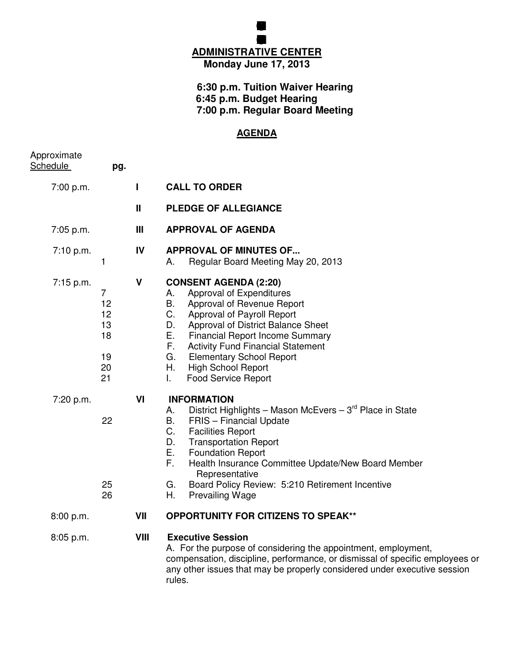## **BOARD FEUCATION MEG ADMINISTRATIVE CENTER Monday June 17, 2013**

**GRENFILD COMUNITY SCHOL**

## **6:30 p.m. Tuition Waiver Hearing 6:45 p.m. Budget Hearing 7:00 p.m. Regular Board Meeting**

## **AGENDA**

| Approximate<br><b>Schedule</b> | pg.                                                      |              |                                                                                                                                                                                                                                                                                                                                                                                                      |
|--------------------------------|----------------------------------------------------------|--------------|------------------------------------------------------------------------------------------------------------------------------------------------------------------------------------------------------------------------------------------------------------------------------------------------------------------------------------------------------------------------------------------------------|
| 7:00 p.m.                      |                                                          | L            | <b>CALL TO ORDER</b>                                                                                                                                                                                                                                                                                                                                                                                 |
|                                |                                                          | $\mathbf{H}$ | <b>PLEDGE OF ALLEGIANCE</b>                                                                                                                                                                                                                                                                                                                                                                          |
| 7:05 p.m.                      |                                                          | Ш            | <b>APPROVAL OF AGENDA</b>                                                                                                                                                                                                                                                                                                                                                                            |
| 7:10 p.m.                      | $\mathbf{1}$                                             | IV           | <b>APPROVAL OF MINUTES OF</b><br>Regular Board Meeting May 20, 2013<br>А.                                                                                                                                                                                                                                                                                                                            |
| 7:15 p.m.                      | $\overline{7}$<br>12<br>12<br>13<br>18<br>19<br>20<br>21 | V            | <b>CONSENT AGENDA (2:20)</b><br>Approval of Expenditures<br>А.<br>В.<br>Approval of Revenue Report<br>C.<br>Approval of Payroll Report<br>Approval of District Balance Sheet<br>D.<br>Е.<br><b>Financial Report Income Summary</b><br>F.<br><b>Activity Fund Financial Statement</b><br>G.<br><b>Elementary School Report</b><br>Η.<br><b>High School Report</b><br><b>Food Service Report</b><br>L. |
| 7:20 p.m.                      | 22<br>25<br>26                                           | VI           | <b>INFORMATION</b><br>District Highlights – Mason McEvers – $3rd$ Place in State<br>Α.<br>B.<br>FRIS - Financial Update<br>C.<br><b>Facilities Report</b><br>D.<br><b>Transportation Report</b><br>Е.<br><b>Foundation Report</b><br>F.<br>Health Insurance Committee Update/New Board Member<br>Representative<br>G.<br>Board Policy Review: 5:210 Retirement Incentive<br>Η.<br>Prevailing Wage    |
| 8:00 p.m.                      |                                                          | VII          | <b>OPPORTUNITY FOR CITIZENS TO SPEAK**</b>                                                                                                                                                                                                                                                                                                                                                           |
| 8:05 p.m.                      |                                                          | VIII         | <b>Executive Session</b><br>A. For the purpose of considering the appointment, employment,<br>compensation, discipline, performance, or dismissal of specific employees or<br>any other issues that may be properly considered under executive session                                                                                                                                               |

rules.